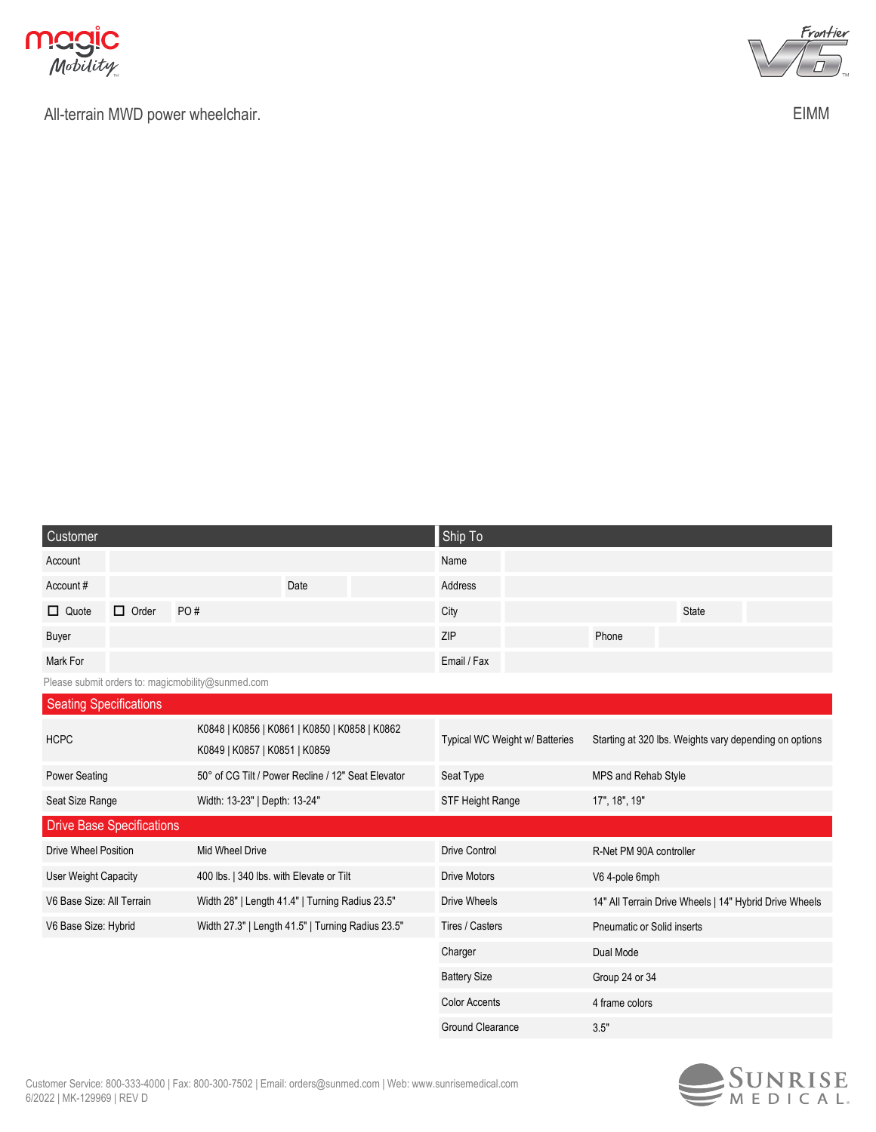

All-terrain MWD power wheelchair.



EIMM

| Customer                      |                                                                                |                                                   |                                                   | Ship To              |                                                        |                            |                                                        |  |
|-------------------------------|--------------------------------------------------------------------------------|---------------------------------------------------|---------------------------------------------------|----------------------|--------------------------------------------------------|----------------------------|--------------------------------------------------------|--|
| Account                       |                                                                                |                                                   |                                                   | Name                 |                                                        |                            |                                                        |  |
| Account#                      |                                                                                |                                                   | Date                                              | Address              |                                                        |                            |                                                        |  |
| $\Box$ Quote                  | $\Box$ Order                                                                   | PO#                                               |                                                   | City                 |                                                        |                            | <b>State</b>                                           |  |
| Buyer                         |                                                                                |                                                   |                                                   | <b>ZIP</b>           |                                                        | Phone                      |                                                        |  |
| Mark For                      |                                                                                |                                                   |                                                   | Email / Fax          |                                                        |                            |                                                        |  |
|                               |                                                                                | Please submit orders to: magicmobility@sunmed.com |                                                   |                      |                                                        |                            |                                                        |  |
| <b>Seating Specifications</b> |                                                                                |                                                   |                                                   |                      |                                                        |                            |                                                        |  |
| <b>HCPC</b>                   | K0848   K0856   K0861   K0850   K0858   K0862<br>K0849   K0857   K0851   K0859 |                                                   | Typical WC Weight w/ Batteries                    |                      | Starting at 320 lbs. Weights vary depending on options |                            |                                                        |  |
| <b>Power Seating</b>          | 50° of CG Tilt / Power Recline / 12" Seat Elevator                             |                                                   |                                                   | Seat Type            |                                                        | MPS and Rehab Style        |                                                        |  |
| Seat Size Range               |                                                                                | Width: 13-23"   Depth: 13-24"                     |                                                   | STF Height Range     |                                                        | 17", 18", 19"              |                                                        |  |
|                               | <b>Drive Base Specifications</b>                                               |                                                   |                                                   |                      |                                                        |                            |                                                        |  |
| <b>Drive Wheel Position</b>   |                                                                                | Mid Wheel Drive                                   |                                                   | <b>Drive Control</b> |                                                        | R-Net PM 90A controller    |                                                        |  |
| <b>User Weight Capacity</b>   |                                                                                | 400 lbs.   340 lbs. with Elevate or Tilt          |                                                   | <b>Drive Motors</b>  |                                                        | V6 4-pole 6mph             |                                                        |  |
| V6 Base Size: All Terrain     |                                                                                |                                                   | Width 28"   Length 41.4"   Turning Radius 23.5"   | <b>Drive Wheels</b>  |                                                        |                            | 14" All Terrain Drive Wheels   14" Hybrid Drive Wheels |  |
| V6 Base Size: Hybrid          |                                                                                |                                                   | Width 27.3"   Length 41.5"   Turning Radius 23.5" | Tires / Casters      |                                                        | Pneumatic or Solid inserts |                                                        |  |
|                               |                                                                                |                                                   |                                                   | Charger              |                                                        | Dual Mode                  |                                                        |  |
|                               |                                                                                |                                                   |                                                   | <b>Battery Size</b>  |                                                        | Group 24 or 34             |                                                        |  |
|                               |                                                                                |                                                   |                                                   | <b>Color Accents</b> |                                                        | 4 frame colors             |                                                        |  |
|                               |                                                                                |                                                   |                                                   | Ground Clearance     |                                                        | 3.5"                       |                                                        |  |

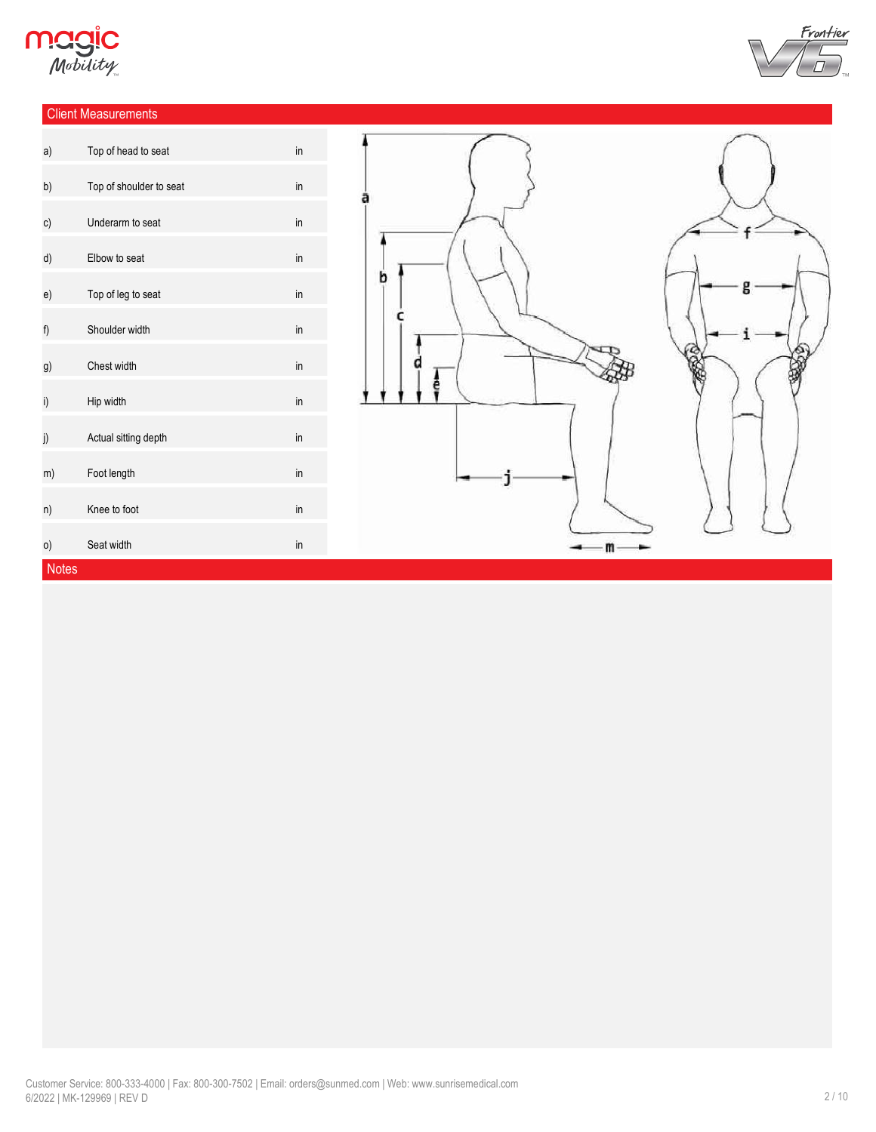

### Client Measurements



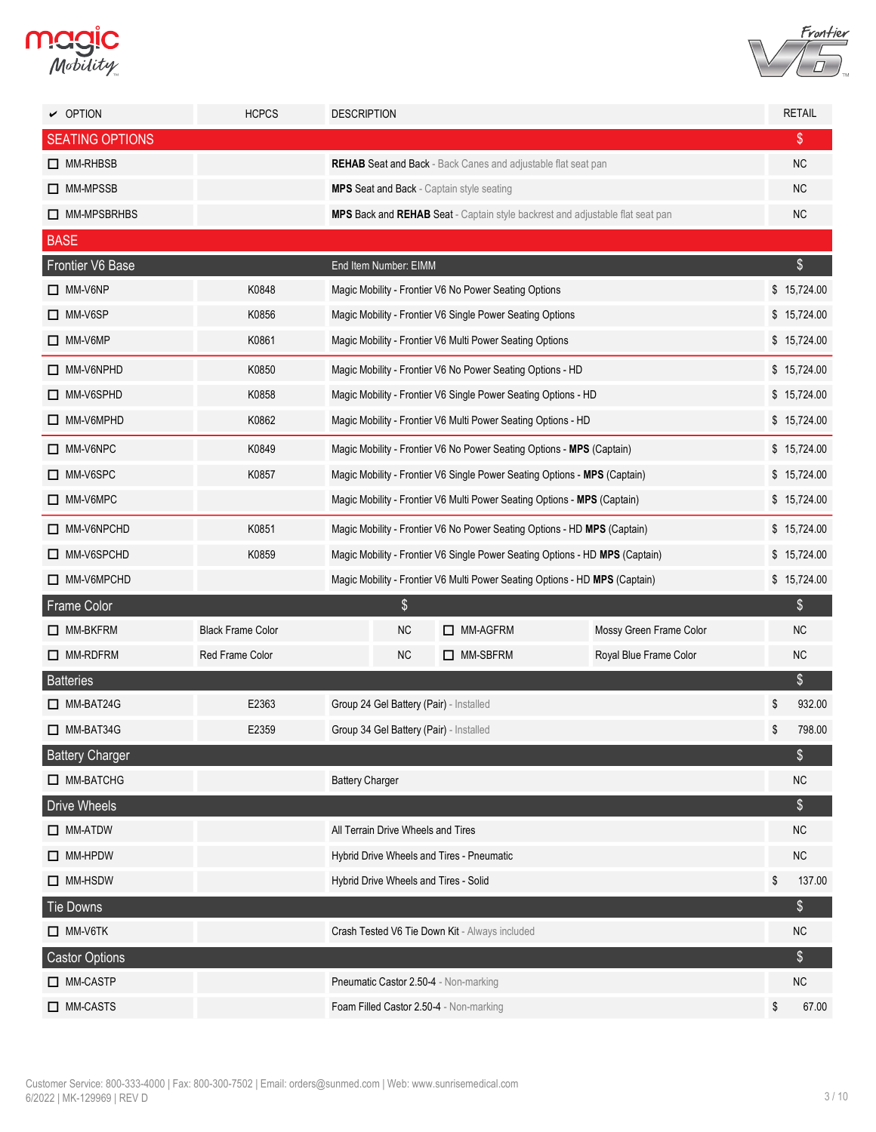



| $\vee$ OPTION          | <b>HCPCS</b>             | <b>DESCRIPTION</b>                                                           |                                                                          |                                                                           |                                                                               |    | <b>RETAIL</b> |  |
|------------------------|--------------------------|------------------------------------------------------------------------------|--------------------------------------------------------------------------|---------------------------------------------------------------------------|-------------------------------------------------------------------------------|----|---------------|--|
| <b>SEATING OPTIONS</b> |                          |                                                                              |                                                                          |                                                                           |                                                                               |    | \$            |  |
| $\Box$ MM-RHBSB        |                          | <b>REHAB Seat and Back - Back Canes and adjustable flat seat pan</b>         |                                                                          |                                                                           |                                                                               |    |               |  |
| □ MM-MPSSB             |                          | <b>MPS Seat and Back - Captain style seating</b>                             |                                                                          |                                                                           |                                                                               |    | <b>NC</b>     |  |
| MM-MPSBRHBS            |                          |                                                                              |                                                                          |                                                                           | MPS Back and REHAB Seat - Captain style backrest and adjustable flat seat pan |    | NC            |  |
| <b>BASE</b>            |                          |                                                                              |                                                                          |                                                                           |                                                                               |    |               |  |
| Frontier V6 Base       |                          | End Item Number: EIMM                                                        |                                                                          |                                                                           |                                                                               |    | $\$\$         |  |
| $\Box$ MM-V6NP         | K0848                    |                                                                              |                                                                          | Magic Mobility - Frontier V6 No Power Seating Options                     |                                                                               |    | \$15,724.00   |  |
| $\Box$ MM-V6SP         | K0856                    |                                                                              |                                                                          | Magic Mobility - Frontier V6 Single Power Seating Options                 |                                                                               |    | \$15,724.00   |  |
| $\Box$ MM-V6MP         | K0861                    |                                                                              |                                                                          | Magic Mobility - Frontier V6 Multi Power Seating Options                  |                                                                               |    | \$15,724.00   |  |
| $\Box$ MM-V6NPHD       | K0850                    |                                                                              |                                                                          | Magic Mobility - Frontier V6 No Power Seating Options - HD                |                                                                               |    | \$15,724.00   |  |
| MM-V6SPHD              | K0858                    |                                                                              |                                                                          | Magic Mobility - Frontier V6 Single Power Seating Options - HD            |                                                                               |    | \$15,724.00   |  |
| $\Box$ MM-V6MPHD       | K0862                    |                                                                              |                                                                          | Magic Mobility - Frontier V6 Multi Power Seating Options - HD             |                                                                               |    | \$15,724.00   |  |
| MM-V6NPC               | K0849                    |                                                                              |                                                                          | Magic Mobility - Frontier V6 No Power Seating Options - MPS (Captain)     |                                                                               |    | \$15,724.00   |  |
| MM-V6SPC               | K0857                    |                                                                              |                                                                          | Magic Mobility - Frontier V6 Single Power Seating Options - MPS (Captain) |                                                                               |    | \$15,724.00   |  |
| MM-V6MPC               |                          |                                                                              | Magic Mobility - Frontier V6 Multi Power Seating Options - MPS (Captain) |                                                                           |                                                                               |    |               |  |
| MM-V6NPCHD             | K0851                    | Magic Mobility - Frontier V6 No Power Seating Options - HD MPS (Captain)     |                                                                          |                                                                           |                                                                               |    | \$15,724.00   |  |
| MM-V6SPCHD             | K0859                    | Magic Mobility - Frontier V6 Single Power Seating Options - HD MPS (Captain) |                                                                          |                                                                           |                                                                               |    | \$15,724.00   |  |
| MM-V6MPCHD             |                          | Magic Mobility - Frontier V6 Multi Power Seating Options - HD MPS (Captain)  |                                                                          |                                                                           |                                                                               |    | \$15,724.00   |  |
| Frame Color            |                          |                                                                              | \$                                                                       |                                                                           |                                                                               |    | \$            |  |
| $\Box$ MM-BKFRM        | <b>Black Frame Color</b> |                                                                              | <b>NC</b>                                                                | MM-AGFRM                                                                  | Mossy Green Frame Color                                                       |    | <b>NC</b>     |  |
| $\Box$ MM-RDFRM        | Red Frame Color          |                                                                              | <b>NC</b>                                                                | □ MM-SBFRM                                                                | Royal Blue Frame Color                                                        |    | <b>NC</b>     |  |
| <b>Batteries</b>       |                          |                                                                              |                                                                          |                                                                           |                                                                               |    | $\$\$         |  |
| $\Box$ MM-BAT24G       | E2363                    |                                                                              |                                                                          | Group 24 Gel Battery (Pair) - Installed                                   |                                                                               | \$ | 932.00        |  |
| $\Box$ MM-BAT34G       | E2359                    |                                                                              |                                                                          | Group 34 Gel Battery (Pair) - Installed                                   |                                                                               | \$ | 798.00        |  |
| <b>Battery Charger</b> |                          |                                                                              |                                                                          |                                                                           |                                                                               |    | \$            |  |
| MM-BATCHG              |                          | <b>Battery Charger</b>                                                       |                                                                          |                                                                           |                                                                               |    | NC            |  |
| <b>Drive Wheels</b>    |                          |                                                                              |                                                                          |                                                                           |                                                                               |    | $\$\$         |  |
| $\Box$ MM-ATDW         |                          | All Terrain Drive Wheels and Tires                                           |                                                                          |                                                                           |                                                                               |    | NC.           |  |
| $\Box$ MM-HPDW         |                          |                                                                              |                                                                          | Hybrid Drive Wheels and Tires - Pneumatic                                 |                                                                               |    | <b>NC</b>     |  |
| $\Box$ MM-HSDW         |                          |                                                                              |                                                                          | Hybrid Drive Wheels and Tires - Solid                                     |                                                                               | \$ | 137.00        |  |
| Tie Downs              |                          |                                                                              |                                                                          |                                                                           |                                                                               |    | \$            |  |
| $\Box$ MM-V6TK         |                          |                                                                              |                                                                          | Crash Tested V6 Tie Down Kit - Always included                            |                                                                               |    | <b>NC</b>     |  |
| <b>Castor Options</b>  |                          |                                                                              |                                                                          |                                                                           |                                                                               |    | \$            |  |
| MM-CASTP               |                          |                                                                              |                                                                          | Pneumatic Castor 2.50-4 - Non-marking                                     |                                                                               |    | NC            |  |
| $\Box$ MM-CASTS        |                          |                                                                              |                                                                          | Foam Filled Castor 2.50-4 - Non-marking                                   |                                                                               | \$ | 67.00         |  |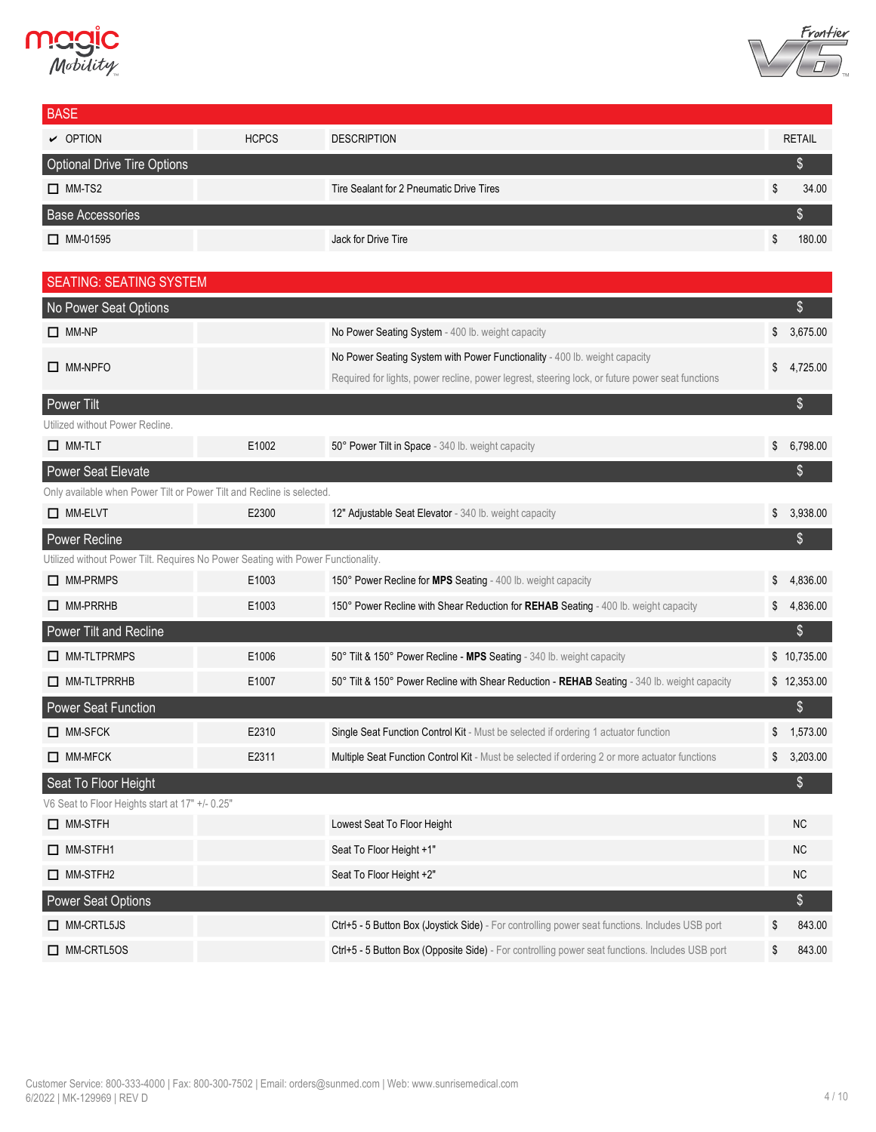



| <b>BASE</b>                                                                                 |              |                                                                                                  |                |
|---------------------------------------------------------------------------------------------|--------------|--------------------------------------------------------------------------------------------------|----------------|
| $\vee$ OPTION                                                                               | <b>HCPCS</b> | <b>DESCRIPTION</b>                                                                               | <b>RETAIL</b>  |
| <b>Optional Drive Tire Options</b>                                                          |              |                                                                                                  | $\$\$          |
| $\Box$ MM-TS2                                                                               |              | Tire Sealant for 2 Pneumatic Drive Tires                                                         | \$<br>34.00    |
| <b>Base Accessories</b>                                                                     |              |                                                                                                  | $\$\$          |
| $\Box$ MM-01595                                                                             |              | Jack for Drive Tire                                                                              | \$<br>180.00   |
|                                                                                             |              |                                                                                                  |                |
| <b>SEATING: SEATING SYSTEM</b>                                                              |              |                                                                                                  |                |
| No Power Seat Options                                                                       |              |                                                                                                  | \$             |
| $\Box$ MM-NP                                                                                |              | No Power Seating System - 400 lb. weight capacity                                                | \$<br>3,675.00 |
| $\Box$ MM-NPFO                                                                              |              | No Power Seating System with Power Functionality - 400 lb. weight capacity                       | \$<br>4,725.00 |
|                                                                                             |              | Required for lights, power recline, power legrest, steering lock, or future power seat functions |                |
| Power Tilt                                                                                  |              |                                                                                                  | $\$\$          |
| Utilized without Power Recline.<br>$\Box$ MM-TLT                                            | E1002        | 50° Power Tilt in Space - 340 lb. weight capacity                                                | \$<br>6,798.00 |
|                                                                                             |              |                                                                                                  |                |
| Power Seat Elevate<br>Only available when Power Tilt or Power Tilt and Recline is selected. |              |                                                                                                  | \$             |
| $\Box$ MM-ELVT                                                                              | E2300        | 12" Adjustable Seat Elevator - 340 lb. weight capacity                                           | \$<br>3,938.00 |
| Power Recline                                                                               |              |                                                                                                  | \$             |
| Utilized without Power Tilt. Requires No Power Seating with Power Functionality.            |              |                                                                                                  |                |
| $\Box$ MM-PRMPS                                                                             | E1003        | 150° Power Recline for MPS Seating - 400 lb. weight capacity                                     | \$<br>4,836.00 |
| $\Box$ MM-PRRHB                                                                             | E1003        | 150° Power Recline with Shear Reduction for REHAB Seating - 400 lb. weight capacity              | \$<br>4,836.00 |
| Power Tilt and Recline                                                                      |              |                                                                                                  | \$             |
| $\Box$ MM-TLTPRMPS                                                                          | E1006        | 50° Tilt & 150° Power Recline - MPS Seating - 340 lb. weight capacity                            | \$10,735.00    |
| $\Box$ MM-TLTPRRHB                                                                          | E1007        | 50° Tilt & 150° Power Recline with Shear Reduction - REHAB Seating - 340 lb. weight capacity     | \$12,353.00    |
| <b>Power Seat Function</b>                                                                  |              |                                                                                                  | \$             |
| $\Box$ MM-SFCK                                                                              | E2310        | Single Seat Function Control Kit - Must be selected if ordering 1 actuator function              | \$<br>1,573.00 |
| $\Box$ MM-MFCK                                                                              | E2311        | Multiple Seat Function Control Kit - Must be selected if ordering 2 or more actuator functions   | \$<br>3,203.00 |
| Seat To Floor Height                                                                        |              |                                                                                                  | $\frac{1}{2}$  |
| V6 Seat to Floor Heights start at 17" +/- 0.25"                                             |              |                                                                                                  |                |
| $\Box$ MM-STFH                                                                              |              | Lowest Seat To Floor Height                                                                      | NC             |
| $\Box$ MM-STFH1                                                                             |              | Seat To Floor Height +1"                                                                         | NC             |
| $\Box$ MM-STFH2                                                                             |              | Seat To Floor Height +2"                                                                         | NC             |
| <b>Power Seat Options</b>                                                                   |              |                                                                                                  | \$             |
| $\Box$ MM-CRTL5JS                                                                           |              | Ctrl+5 - 5 Button Box (Joystick Side) - For controlling power seat functions. Includes USB port  | \$<br>843.00   |
| $\Box$ MM-CRTL5OS                                                                           |              | Ctrl+5 - 5 Button Box (Opposite Side) - For controlling power seat functions. Includes USB port  | \$<br>843.00   |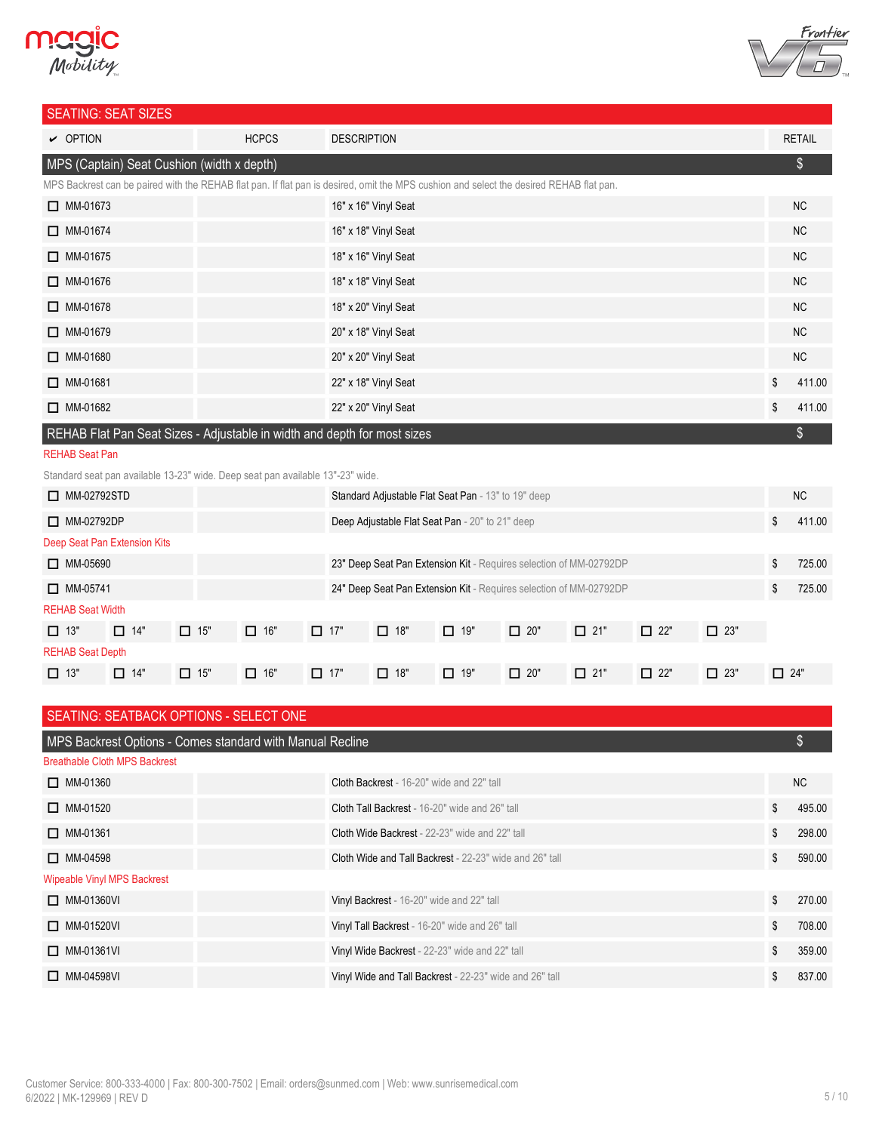## **Magic**<br>*Mobility*



### SEATING: SEAT SIZES

| <u>ULITITU. ULITI UILLU</u>                                                                                                             |              |                      |    |               |  |  |  |
|-----------------------------------------------------------------------------------------------------------------------------------------|--------------|----------------------|----|---------------|--|--|--|
| $\vee$ OPTION                                                                                                                           | <b>HCPCS</b> | <b>DESCRIPTION</b>   |    | <b>RETAIL</b> |  |  |  |
| MPS (Captain) Seat Cushion (width x depth)                                                                                              |              |                      |    | \$            |  |  |  |
| MPS Backrest can be paired with the REHAB flat pan. If flat pan is desired, omit the MPS cushion and select the desired REHAB flat pan. |              |                      |    |               |  |  |  |
| $\Box$ MM-01673                                                                                                                         |              | 16" x 16" Vinyl Seat |    | <b>NC</b>     |  |  |  |
| $\Box$ MM-01674                                                                                                                         |              | 16" x 18" Vinyl Seat |    | <b>NC</b>     |  |  |  |
| $\Box$ MM-01675                                                                                                                         |              | 18" x 16" Vinyl Seat |    | <b>NC</b>     |  |  |  |
| $\Box$ MM-01676                                                                                                                         |              | 18" x 18" Vinyl Seat |    | <b>NC</b>     |  |  |  |
| $\Box$ MM-01678                                                                                                                         |              | 18" x 20" Vinyl Seat |    | <b>NC</b>     |  |  |  |
| $\Box$ MM-01679                                                                                                                         |              | 20" x 18" Vinyl Seat |    | <b>NC</b>     |  |  |  |
| $\Box$ MM-01680                                                                                                                         |              | 20" x 20" Vinyl Seat |    | <b>NC</b>     |  |  |  |
| $\Box$ MM-01681                                                                                                                         |              | 22" x 18" Vinyl Seat | \$ | 411.00        |  |  |  |
| $\Box$ MM-01682                                                                                                                         |              | 22" x 20" Vinyl Seat | \$ | 411.00        |  |  |  |
| REHAB Flat Pan Seat Sizes - Adjustable in width and depth for most sizes                                                                |              |                      |    |               |  |  |  |

#### REHAB Seat Pan

Standard seat pan available 13-23" wide. Deep seat pan available 13"-23" wide.

| $\Box$ MM-02792STD           |            |            |            |            |                                                 | Standard Adjustable Flat Seat Pan - 13" to 19" deep |            |                                                                    |            |            |            | <b>NC</b> |
|------------------------------|------------|------------|------------|------------|-------------------------------------------------|-----------------------------------------------------|------------|--------------------------------------------------------------------|------------|------------|------------|-----------|
| $\Box$ MM-02792DP            |            |            |            |            | Deep Adjustable Flat Seat Pan - 20" to 21" deep |                                                     |            |                                                                    |            |            | \$         | 411.00    |
| Deep Seat Pan Extension Kits |            |            |            |            |                                                 |                                                     |            |                                                                    |            |            |            |           |
| $\Box$ MM-05690              |            |            |            |            |                                                 |                                                     |            | 23" Deep Seat Pan Extension Kit - Requires selection of MM-02792DP |            |            | \$         | 725.00    |
| $\Box$ MM-05741              |            |            |            |            |                                                 |                                                     |            | 24" Deep Seat Pan Extension Kit - Requires selection of MM-02792DP |            |            | \$         | 725.00    |
| <b>REHAB Seat Width</b>      |            |            |            |            |                                                 |                                                     |            |                                                                    |            |            |            |           |
| $\Box$ 13"                   | $\Box$ 14" | $\Box$ 15" | $\Box$ 16" | $\Box$ 17" | $\Box$ 18"                                      | $\Box$ 19"                                          | $\Box$ 20" | $\Box$ 21"                                                         | $\Box$ 22" | $\Box$ 23" |            |           |
| <b>REHAB Seat Depth</b>      |            |            |            |            |                                                 |                                                     |            |                                                                    |            |            |            |           |
| $\Box$ 13"                   | $\Box$ 14" | $\Box$ 15" | $\Box$ 16" | $\Box$ 17" | $\Box$ 18"                                      | $\Box$ 19"                                          | $\Box$ 20" | $\Box$ 21"                                                         | $\Box$ 22" | $\Box$ 23" | $\Box$ 24" |           |

| SEATING: SEATBACK OPTIONS - SELECT ONE |                                                                |                |                |  |  |  |  |  |  |
|----------------------------------------|----------------------------------------------------------------|----------------|----------------|--|--|--|--|--|--|
|                                        | MPS Backrest Options - Comes standard with Manual Recline      |                |                |  |  |  |  |  |  |
| <b>Breathable Cloth MPS Backrest</b>   |                                                                |                |                |  |  |  |  |  |  |
| $\Box$ MM-01360                        | Cloth Backrest - 16-20" wide and 22" tall                      |                | N <sub>C</sub> |  |  |  |  |  |  |
| $\Box$ MM-01520                        | Cloth Tall Backrest - 16-20" wide and 26" tall                 | \$             | 495.00         |  |  |  |  |  |  |
| $\Box$ MM-01361                        | <b>Cloth Wide Backrest</b> - 22-23" wide and 22" tall          | \$             | 298.00         |  |  |  |  |  |  |
| $\Box$ MM-04598                        | <b>Cloth Wide and Tall Backrest</b> - 22-23" wide and 26" tall | \$             | 590.00         |  |  |  |  |  |  |
| <b>Wipeable Vinyl MPS Backrest</b>     |                                                                |                |                |  |  |  |  |  |  |
| $\Box$ MM-01360VI                      | Vinyl Backrest - 16-20" wide and 22" tall                      | $\mathfrak{L}$ | 270.00         |  |  |  |  |  |  |
| $\Box$ MM-01520VI                      | Vinyl Tall Backrest - 16-20" wide and 26" tall                 | \$             | 708.00         |  |  |  |  |  |  |
| $\Box$ MM-01361VI                      | Vinyl Wide Backrest - 22-23" wide and 22" tall                 | \$             | 359.00         |  |  |  |  |  |  |
| $\Box$ MM-04598VI                      | Vinyl Wide and Tall Backrest - 22-23" wide and 26" tall        | \$             | 837.00         |  |  |  |  |  |  |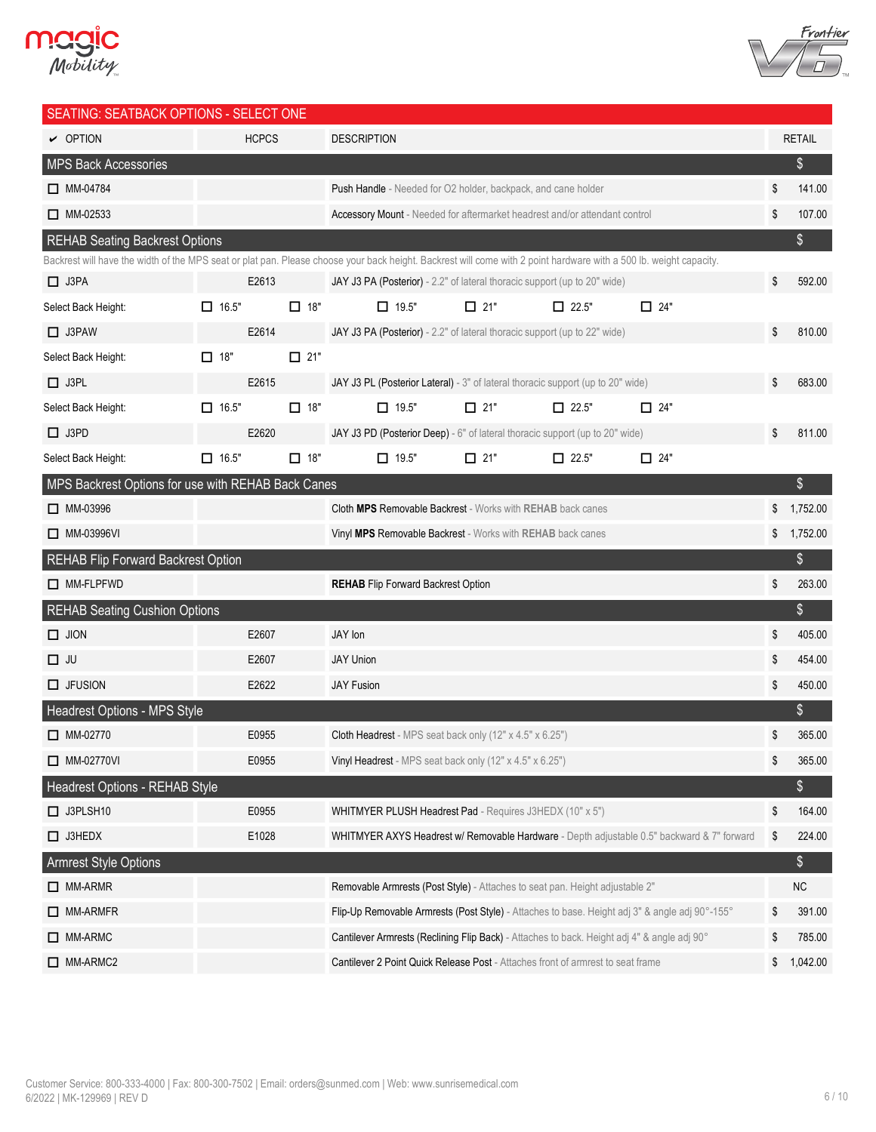



| SEATING: SEATBACK OPTIONS - SELECT ONE             |              |                                                                      |                                                                                                                                                                    |            |              |               |                |
|----------------------------------------------------|--------------|----------------------------------------------------------------------|--------------------------------------------------------------------------------------------------------------------------------------------------------------------|------------|--------------|---------------|----------------|
| $\vee$ OPTION                                      |              | <b>HCPCS</b><br><b>DESCRIPTION</b>                                   |                                                                                                                                                                    |            |              | <b>RETAIL</b> |                |
| <b>MPS Back Accessories</b>                        |              |                                                                      |                                                                                                                                                                    |            |              |               | \$             |
| $\Box$ MM-04784                                    |              | <b>Push Handle</b> - Needed for O2 holder, backpack, and cane holder |                                                                                                                                                                    |            | \$<br>141.00 |               |                |
| $\Box$ MM-02533                                    |              |                                                                      | <b>Accessory Mount</b> - Needed for aftermarket headrest and/or attendant control                                                                                  |            |              |               | \$<br>107.00   |
| <b>REHAB Seating Backrest Options</b>              |              |                                                                      |                                                                                                                                                                    |            |              |               | \$             |
|                                                    |              |                                                                      | Backrest will have the width of the MPS seat or plat pan. Please choose your back height. Backrest will come with 2 point hardware with a 500 lb. weight capacity. |            |              |               |                |
| $\Box$ J3PA                                        | E2613        |                                                                      | JAY J3 PA (Posterior) - 2.2" of lateral thoracic support (up to 20" wide)                                                                                          |            |              |               | \$<br>592.00   |
| Select Back Height:                                | $\Box$ 16.5" | $\Box$ 18"                                                           | $\Box$ 19.5"                                                                                                                                                       | $\Box$ 21" | $\Box$ 22.5" | $\Box$ 24"    |                |
| $\Box$ J3PAW                                       | E2614        |                                                                      | JAY J3 PA (Posterior) - 2.2" of lateral thoracic support (up to 22" wide)                                                                                          |            |              |               | \$<br>810.00   |
| Select Back Height:                                | $\Box$ 18"   | $\Box$ 21"                                                           |                                                                                                                                                                    |            |              |               |                |
| $\Box$ J3PL                                        | E2615        |                                                                      | JAY J3 PL (Posterior Lateral) - 3" of lateral thoracic support (up to 20" wide)                                                                                    |            |              |               | \$<br>683.00   |
| Select Back Height:                                | $\Box$ 16.5" | $\Box$ 18"                                                           | $\Box$ 19.5"                                                                                                                                                       | $\Box$ 21" | $\Box$ 22.5" | $\Box$ 24"    |                |
| $\Box$ J3PD                                        | E2620        |                                                                      | JAY J3 PD (Posterior Deep) - 6" of lateral thoracic support (up to 20" wide)                                                                                       |            |              |               | \$<br>811.00   |
| Select Back Height:                                | $\Box$ 16.5" | $\Box$ 18"                                                           | $\Box$ 19.5"                                                                                                                                                       | $\Box$ 21" | $\Box$ 22.5" | $\Box$ 24"    |                |
| MPS Backrest Options for use with REHAB Back Canes |              |                                                                      |                                                                                                                                                                    |            |              |               | \$             |
| □ MM-03996                                         |              |                                                                      | <b>Cloth MPS Removable Backrest - Works with REHAB back canes</b>                                                                                                  |            |              |               | \$<br>1,752.00 |
| □ MM-03996VI                                       |              |                                                                      | Vinyl MPS Removable Backrest - Works with REHAB back canes                                                                                                         |            |              |               | \$<br>1,752.00 |
| <b>REHAB Flip Forward Backrest Option</b>          |              |                                                                      |                                                                                                                                                                    |            |              |               | \$             |
| $\Box$ MM-FLPFWD                                   |              |                                                                      | <b>REHAB</b> Flip Forward Backrest Option                                                                                                                          |            |              |               | \$<br>263.00   |
| <b>REHAB Seating Cushion Options</b>               |              |                                                                      |                                                                                                                                                                    |            |              |               | \$             |
| $\Box$ JION                                        | E2607        |                                                                      | JAY Ion                                                                                                                                                            |            |              |               | \$<br>405.00   |
| $\Box$ JU                                          | E2607        |                                                                      | <b>JAY Union</b>                                                                                                                                                   |            |              |               | \$<br>454.00   |
| $\Box$ JFUSION                                     | E2622        |                                                                      | <b>JAY Fusion</b>                                                                                                                                                  |            |              |               | \$<br>450.00   |
| Headrest Options - MPS Style                       |              |                                                                      |                                                                                                                                                                    |            |              |               | \$             |
| $\Box$ MM-02770                                    | E0955        |                                                                      | Cloth Headrest - MPS seat back only (12" x 4.5" x 6.25")                                                                                                           |            |              |               | \$<br>365.00   |
| $\Box$ MM-02770VI                                  | E0955        |                                                                      | Vinyl Headrest - MPS seat back only (12" x 4.5" x 6.25")                                                                                                           |            |              |               | \$<br>365.00   |
| Headrest Options - REHAB Style                     |              |                                                                      |                                                                                                                                                                    |            |              |               | \$             |
| $\Box$ J3PLSH10                                    | E0955        |                                                                      | WHITMYER PLUSH Headrest Pad - Requires J3HEDX (10" x 5")                                                                                                           |            |              |               | \$<br>164.00   |
| $\Box$ J3HEDX                                      | E1028        |                                                                      | WHITMYER AXYS Headrest w/ Removable Hardware - Depth adjustable 0.5" backward & 7" forward                                                                         |            |              |               | \$<br>224.00   |
| <b>Armrest Style Options</b>                       |              |                                                                      |                                                                                                                                                                    |            |              |               | \$             |
| $\Box$ MM-ARMR                                     |              |                                                                      | Removable Armrests (Post Style) - Attaches to seat pan. Height adjustable 2"                                                                                       |            |              |               | NC             |
| $\Box$ MM-ARMFR                                    |              |                                                                      | Flip-Up Removable Armrests (Post Style) - Attaches to base. Height adj 3" & angle adj 90°-155°                                                                     |            |              |               | \$<br>391.00   |
| $\Box$ MM-ARMC                                     |              |                                                                      | Cantilever Armrests (Reclining Flip Back) - Attaches to back. Height adj 4" & angle adj 90°                                                                        |            |              |               | \$<br>785.00   |
| MM-ARMC2                                           |              |                                                                      | Cantilever 2 Point Quick Release Post - Attaches front of armrest to seat frame                                                                                    |            |              |               | \$<br>1,042.00 |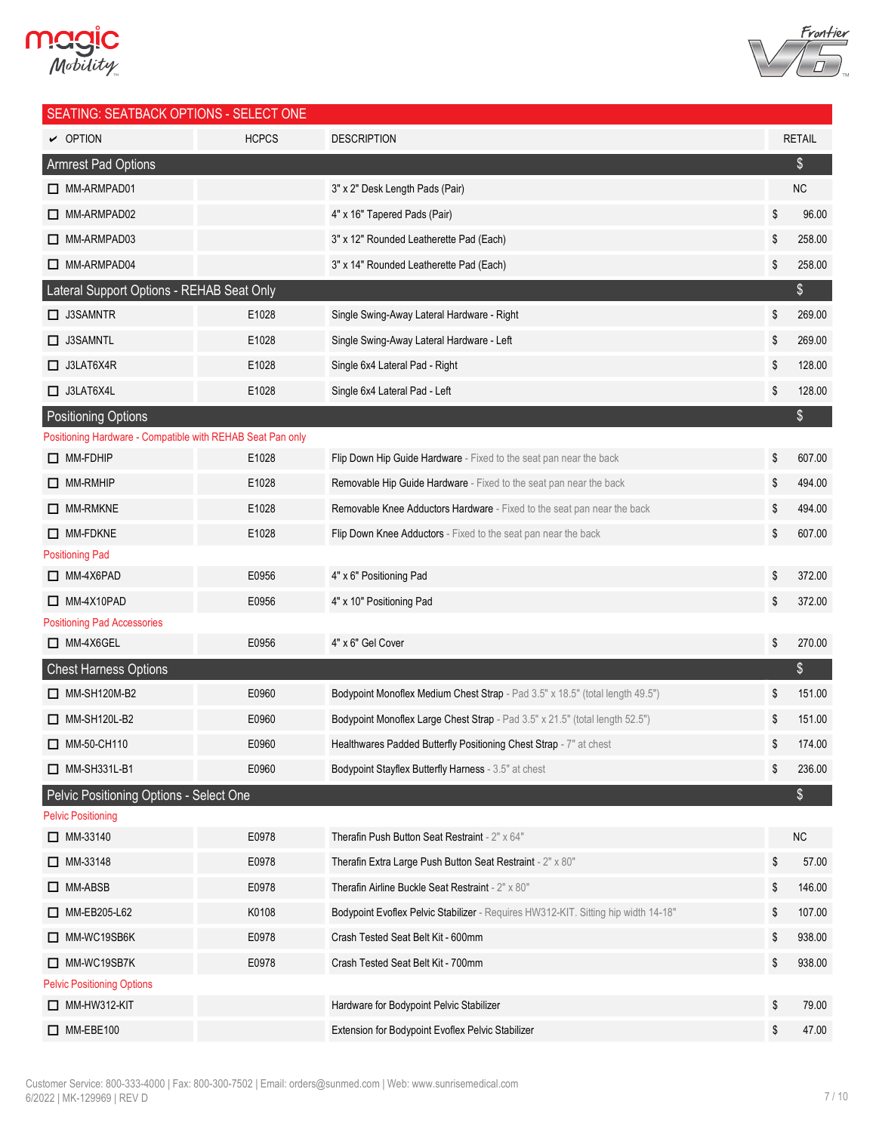



| SEATING: SEATBACK OPTIONS - SELECT ONE                     |              |                                                                                    |               |
|------------------------------------------------------------|--------------|------------------------------------------------------------------------------------|---------------|
| $\sim$ OPTION                                              | <b>HCPCS</b> | <b>DESCRIPTION</b>                                                                 | <b>RETAIL</b> |
| <b>Armrest Pad Options</b>                                 |              |                                                                                    | \$            |
| MM-ARMPAD01                                                |              | 3" x 2" Desk Length Pads (Pair)                                                    | NC            |
| MM-ARMPAD02                                                |              | 4" x 16" Tapered Pads (Pair)                                                       | \$<br>96.00   |
| MM-ARMPAD03                                                |              | 3" x 12" Rounded Leatherette Pad (Each)                                            | \$<br>258.00  |
| MM-ARMPAD04                                                |              | 3" x 14" Rounded Leatherette Pad (Each)                                            | \$<br>258.00  |
| Lateral Support Options - REHAB Seat Only                  |              |                                                                                    | \$            |
| $\Box$ J3SAMNTR                                            | E1028        | Single Swing-Away Lateral Hardware - Right                                         | \$<br>269.00  |
| $\Box$ J3SAMNTL                                            | E1028        | Single Swing-Away Lateral Hardware - Left                                          | \$<br>269.00  |
| $\Box$ J3LAT6X4R                                           | E1028        | Single 6x4 Lateral Pad - Right                                                     | \$<br>128.00  |
| $\Box$ J3LAT6X4L                                           | E1028        | Single 6x4 Lateral Pad - Left                                                      | \$<br>128.00  |
| <b>Positioning Options</b>                                 |              |                                                                                    | \$            |
| Positioning Hardware - Compatible with REHAB Seat Pan only |              |                                                                                    |               |
| $\Box$ MM-FDHIP                                            | E1028        | Flip Down Hip Guide Hardware - Fixed to the seat pan near the back                 | \$<br>607.00  |
| $\Box$ MM-RMHIP                                            | E1028        | Removable Hip Guide Hardware - Fixed to the seat pan near the back                 | \$<br>494.00  |
| $\Box$ MM-RMKNE                                            | E1028        | Removable Knee Adductors Hardware - Fixed to the seat pan near the back            | \$<br>494.00  |
| $\Box$ MM-FDKNE                                            | E1028        | Flip Down Knee Adductors - Fixed to the seat pan near the back                     | \$<br>607.00  |
| <b>Positioning Pad</b>                                     |              |                                                                                    |               |
| $\Box$ MM-4X6PAD                                           | E0956        | 4" x 6" Positioning Pad                                                            | \$<br>372.00  |
| $\Box$ MM-4X10PAD                                          | E0956        | 4" x 10" Positioning Pad                                                           | \$<br>372.00  |
| <b>Positioning Pad Accessories</b>                         |              |                                                                                    |               |
| $\Box$ MM-4X6GEL                                           | E0956        | 4" x 6" Gel Cover                                                                  | \$<br>270.00  |
| <b>Chest Harness Options</b>                               |              |                                                                                    | \$            |
| $\Box$ MM-SH120M-B2                                        | E0960        | Bodypoint Monoflex Medium Chest Strap - Pad 3.5" x 18.5" (total length 49.5")      | \$<br>151.00  |
| $\Box$ MM-SH120L-B2                                        | E0960        | Bodypoint Monoflex Large Chest Strap - Pad 3.5" x 21.5" (total length 52.5")       | \$<br>151.00  |
| MM-50-CH110                                                | E0960        | Healthwares Padded Butterfly Positioning Chest Strap - 7" at chest                 | \$<br>174.00  |
| $\Box$ MM-SH331L-B1                                        | E0960        | Bodypoint Stayflex Butterfly Harness - 3.5" at chest                               | \$<br>236.00  |
| Pelvic Positioning Options - Select One                    |              |                                                                                    | \$            |
| <b>Pelvic Positioning</b>                                  |              |                                                                                    |               |
| $\Box$ MM-33140                                            | E0978        | Therafin Push Button Seat Restraint - 2" x 64"                                     | <b>NC</b>     |
| $\Box$ MM-33148                                            | E0978        | Therafin Extra Large Push Button Seat Restraint - 2" x 80"                         | \$<br>57.00   |
| $\Box$ MM-ABSB                                             | E0978        | Therafin Airline Buckle Seat Restraint - 2" x 80"                                  | \$<br>146.00  |
| MM-EB205-L62                                               | K0108        | Bodypoint Evoflex Pelvic Stabilizer - Requires HW312-KIT. Sitting hip width 14-18" | \$<br>107.00  |
| MM-WC19SB6K                                                | E0978        | Crash Tested Seat Belt Kit - 600mm                                                 | \$<br>938.00  |
| MM-WC19SB7K                                                | E0978        | Crash Tested Seat Belt Kit - 700mm                                                 | \$<br>938.00  |
| <b>Pelvic Positioning Options</b>                          |              |                                                                                    |               |
| $\Box$ MM-HW312-KIT                                        |              | Hardware for Bodypoint Pelvic Stabilizer                                           | \$<br>79.00   |
| $\Box$ MM-EBE100                                           |              | Extension for Bodypoint Evoflex Pelvic Stabilizer                                  | \$<br>47.00   |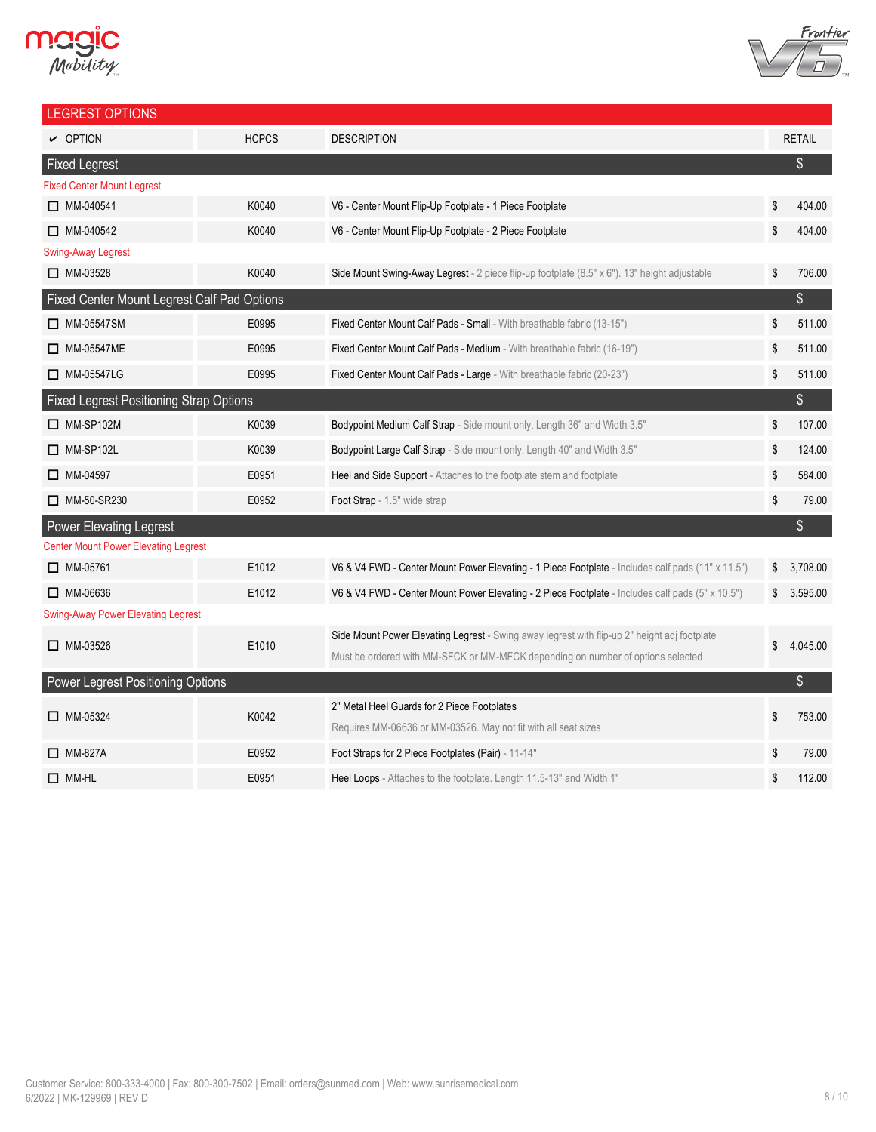# **MCGIC**



| <b>LEGREST OPTIONS</b>                         |              |                                                                                                   |                |
|------------------------------------------------|--------------|---------------------------------------------------------------------------------------------------|----------------|
| $\triangleright$ OPTION                        | <b>HCPCS</b> | <b>DESCRIPTION</b>                                                                                | <b>RETAIL</b>  |
| <b>Fixed Legrest</b>                           |              |                                                                                                   | \$             |
| <b>Fixed Center Mount Legrest</b>              |              |                                                                                                   |                |
| $\Box$ MM-040541                               | K0040        | V6 - Center Mount Flip-Up Footplate - 1 Piece Footplate                                           | \$<br>404.00   |
| $\Box$ MM-040542                               | K0040        | V6 - Center Mount Flip-Up Footplate - 2 Piece Footplate                                           | \$<br>404.00   |
| <b>Swing-Away Legrest</b>                      |              |                                                                                                   |                |
| $\Box$ MM-03528                                | K0040        | Side Mount Swing-Away Legrest - 2 piece flip-up footplate (8.5" x 6"). 13" height adjustable      | \$<br>706.00   |
| Fixed Center Mount Legrest Calf Pad Options    |              |                                                                                                   | $\$\$          |
| $\Box$ MM-05547SM                              | E0995        | Fixed Center Mount Calf Pads - Small - With breathable fabric (13-15")                            | \$<br>511.00   |
| □ MM-05547ME                                   | E0995        | Fixed Center Mount Calf Pads - Medium - With breathable fabric (16-19")                           | \$<br>511.00   |
| MM-05547LG                                     | E0995        | Fixed Center Mount Calf Pads - Large - With breathable fabric (20-23")                            | \$<br>511.00   |
| <b>Fixed Legrest Positioning Strap Options</b> |              |                                                                                                   | $\$\$          |
| $\Box$ MM-SP102M                               | K0039        | Bodypoint Medium Calf Strap - Side mount only. Length 36" and Width 3.5"                          | \$<br>107.00   |
| $\Box$ MM-SP102L                               | K0039        | Bodypoint Large Calf Strap - Side mount only. Length 40" and Width 3.5"                           | \$<br>124.00   |
| $\Box$ MM-04597                                | E0951        | Heel and Side Support - Attaches to the footplate stem and footplate                              | \$<br>584.00   |
| MM-50-SR230                                    | E0952        | Foot Strap - 1.5" wide strap                                                                      | \$<br>79.00    |
| <b>Power Elevating Legrest</b>                 |              |                                                                                                   | $\frac{1}{2}$  |
| <b>Center Mount Power Elevating Legrest</b>    |              |                                                                                                   |                |
| $\Box$ MM-05761                                | E1012        | V6 & V4 FWD - Center Mount Power Elevating - 1 Piece Footplate - Includes calf pads (11" x 11.5") | \$<br>3,708.00 |
| $\Box$ MM-06636                                | E1012        | V6 & V4 FWD - Center Mount Power Elevating - 2 Piece Footplate - Includes calf pads (5" x 10.5")  | \$<br>3,595.00 |
| <b>Swing-Away Power Elevating Legrest</b>      |              |                                                                                                   |                |
| $\Box$ MM-03526                                | E1010        | Side Mount Power Elevating Legrest - Swing away legrest with flip-up 2" height adj footplate      | \$<br>4,045.00 |
|                                                |              | Must be ordered with MM-SFCK or MM-MFCK depending on number of options selected                   |                |
| Power Legrest Positioning Options              |              |                                                                                                   | \$             |
| $\Box$ MM-05324                                | K0042        | 2" Metal Heel Guards for 2 Piece Footplates                                                       | \$<br>753.00   |
|                                                |              | Requires MM-06636 or MM-03526. May not fit with all seat sizes                                    |                |
| $\Box$ MM-827A                                 | E0952        | Foot Straps for 2 Piece Footplates (Pair) - 11-14"                                                | \$<br>79.00    |
| $\Box$ MM-HL                                   | E0951        | Heel Loops - Attaches to the footplate. Length 11.5-13" and Width 1"                              | \$<br>112.00   |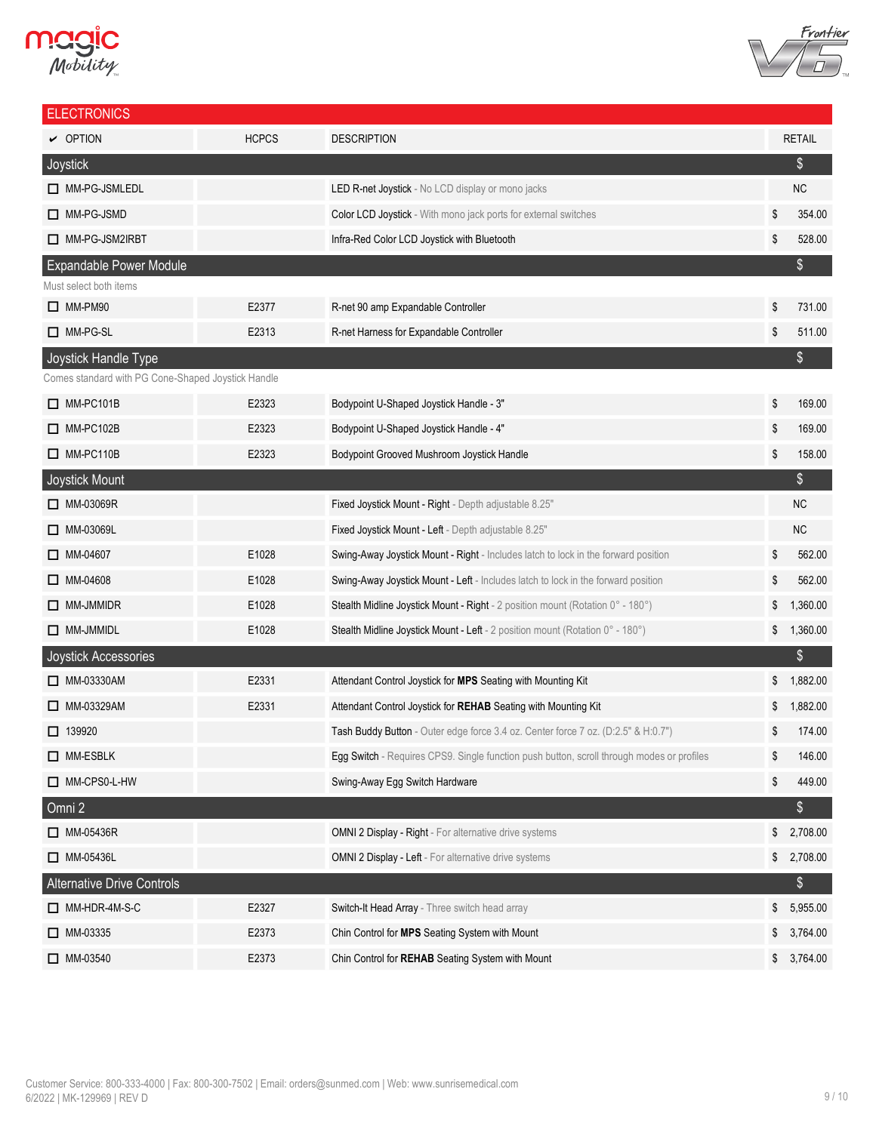# **Magic**<br>*Mobility*



| <b>ELECTRONICS</b>                                 |              |                                                                                           |               |               |
|----------------------------------------------------|--------------|-------------------------------------------------------------------------------------------|---------------|---------------|
| $\sim$ OPTION                                      | <b>HCPCS</b> | <b>DESCRIPTION</b>                                                                        |               | <b>RETAIL</b> |
| Joystick                                           |              |                                                                                           |               | $\$\$         |
| MM-PG-JSMLEDL                                      |              | <b>LED R-net Joystick</b> - No LCD display or mono jacks                                  |               | NC            |
| MM-PG-JSMD                                         |              | Color LCD Joystick - With mono jack ports for external switches                           | \$            | 354.00        |
| MM-PG-JSM2IRBT                                     |              | Infra-Red Color LCD Joystick with Bluetooth                                               | \$            | 528.00        |
| <b>Expandable Power Module</b>                     |              |                                                                                           |               | \$            |
| Must select both items                             |              |                                                                                           |               |               |
| $\Box$ MM-PM90                                     | E2377        | R-net 90 amp Expandable Controller                                                        | \$            | 731.00        |
| MM-PG-SL                                           | E2313        | R-net Harness for Expandable Controller                                                   | \$            | 511.00        |
| Joystick Handle Type                               |              |                                                                                           |               | \$            |
| Comes standard with PG Cone-Shaped Joystick Handle |              |                                                                                           |               |               |
| $\Box$ MM-PC101B                                   | E2323        | Bodypoint U-Shaped Joystick Handle - 3"                                                   | \$            | 169.00        |
| $\Box$ MM-PC102B                                   | E2323        | Bodypoint U-Shaped Joystick Handle - 4"                                                   | \$            | 169.00        |
| $\Box$ MM-PC110B                                   | E2323        | Bodypoint Grooved Mushroom Joystick Handle                                                | \$            | 158.00        |
| Joystick Mount                                     |              |                                                                                           |               | $\$\$         |
| □ MM-03069R                                        |              | Fixed Joystick Mount - Right - Depth adjustable 8.25"                                     |               | NC            |
| MM-03069L                                          |              | Fixed Joystick Mount - Left - Depth adjustable 8.25"                                      |               | NC            |
| $\Box$ MM-04607                                    | E1028        | Swing-Away Joystick Mount - Right - Includes latch to lock in the forward position        | \$            | 562.00        |
| $\Box$ MM-04608                                    | E1028        | Swing-Away Joystick Mount - Left - Includes latch to lock in the forward position         | \$            | 562.00        |
| $\Box$ MM-JMMIDR                                   | E1028        | Stealth Midline Joystick Mount - Right - 2 position mount (Rotation 0° - 180°)            | \$            | 1,360.00      |
| $\Box$ MM-JMMIDL                                   | E1028        | Stealth Midline Joystick Mount - Left - 2 position mount (Rotation 0° - 180°)             | \$            | 1,360.00      |
| Joystick Accessories                               |              |                                                                                           |               | $\$\$         |
| □ MM-03330AM                                       | E2331        | Attendant Control Joystick for MPS Seating with Mounting Kit                              | \$            | 1,882.00      |
| □ MM-03329AM                                       | E2331        | Attendant Control Joystick for REHAB Seating with Mounting Kit                            |               | 1,882.00      |
| $\Box$ 139920                                      |              | Tash Buddy Button - Outer edge force 3.4 oz. Center force 7 oz. (D:2.5" & H:0.7")         |               | 174.00        |
| □ MM-ESBLK                                         |              | Egg Switch - Requires CPS9. Single function push button, scroll through modes or profiles | \$            | 146.00        |
| MM-CPS0-L-HW                                       |              | Swing-Away Egg Switch Hardware                                                            | \$            | 449.00        |
| Omni 2                                             |              |                                                                                           |               | \$            |
| $\Box$ MM-05436R                                   |              | OMNI 2 Display - Right - For alternative drive systems                                    | \$            | 2,708.00      |
| $\Box$ MM-05436L                                   |              | OMNI 2 Display - Left - For alternative drive systems                                     | $\frac{1}{2}$ | 2,708.00      |
| Alternative Drive Controls                         |              |                                                                                           |               | $\frac{1}{2}$ |
| MM-HDR-4M-S-C                                      | E2327        | Switch-It Head Array - Three switch head array                                            | \$            | 5,955.00      |
| $\Box$ MM-03335                                    | E2373        | Chin Control for MPS Seating System with Mount                                            | \$            | 3,764.00      |
| $\Box$ MM-03540                                    | E2373        | Chin Control for REHAB Seating System with Mount                                          | $\frac{1}{2}$ | 3,764.00      |